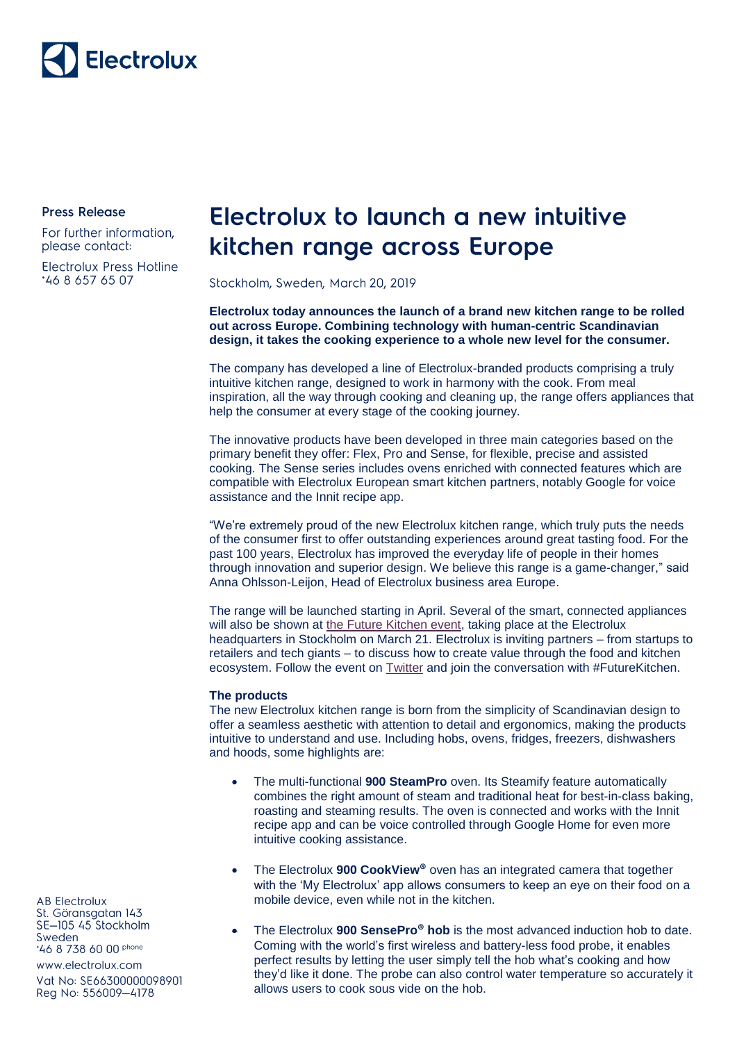

**Press Release** 

For further information, please contact:

**Electrolux Press Hotline** 46 8 657 65 07

## Electrolux to launch a new intuitive kitchen range across Europe

Stockholm, Sweden, March 20, 2019

**Electrolux today announces the launch of a brand new kitchen range to be rolled out across Europe. Combining technology with human-centric Scandinavian design, it takes the cooking experience to a whole new level for the consumer.**

The company has developed a line of Electrolux-branded products comprising a truly intuitive kitchen range, designed to work in harmony with the cook. From meal inspiration, all the way through cooking and cleaning up, the range offers appliances that help the consumer at every stage of the cooking journey.

The innovative products have been developed in three main categories based on the primary benefit they offer: Flex, Pro and Sense, for flexible, precise and assisted cooking. The Sense series includes ovens enriched with connected features which are compatible with Electrolux European smart kitchen partners, notably Google for voice assistance and the Innit recipe app.

"We're extremely proud of the new Electrolux kitchen range, which truly puts the needs of the consumer first to offer outstanding experiences around great tasting food. For the past 100 years, Electrolux has improved the everyday life of people in their homes through innovation and superior design. We believe this range is a game-changer," said Anna Ohlsson-Leijon, Head of Electrolux business area Europe.

The range will be launched starting in April. Several of the smart, connected appliances will also be shown at [the Future Kitchen event,](https://www.eventbrite.com/e/the-future-kitchen-registration-52305832152) taking place at the Electrolux headquarters in Stockholm on March 21. Electrolux is inviting partners – from startups to retailers and tech giants – to discuss how to create value through the food and kitchen ecosystem. Follow the event on [Twitter](https://twitter.com/Electrolux) and join the conversation with #FutureKitchen.

## **The products**

The new Electrolux kitchen range is born from the simplicity of Scandinavian design to offer a seamless aesthetic with attention to detail and ergonomics, making the products intuitive to understand and use. Including hobs, ovens, fridges, freezers, dishwashers and hoods, some highlights are:

- The multi-functional **900 SteamPro** oven. Its Steamify feature automatically combines the right amount of steam and traditional heat for best-in-class baking, roasting and steaming results. The oven is connected and works with the Innit recipe app and can be voice controlled through Google Home for even more intuitive cooking assistance.
- The Electrolux **900 CookView**<sup>®</sup> oven has an integrated camera that together with the 'My Electrolux' app allows consumers to keep an eye on their food on a mobile device, even while not in the kitchen.
	- The Electrolux **900 SensePro<sup>®</sup> hob** is the most advanced induction hob to date. Coming with the world's first wireless and battery-less food probe, it enables perfect results by letting the user simply tell the hob what's cooking and how they'd like it done. The probe can also control water temperature so accurately it allows users to cook sous vide on the hob.

**AB Electrolux** St. Göransgatan 143 SE-105 45 Stockholm Sweden \*46 8 738 60 00 phone

www.electrolux.com

Vat No: SE66300000098901 Reg No: 556009-4178